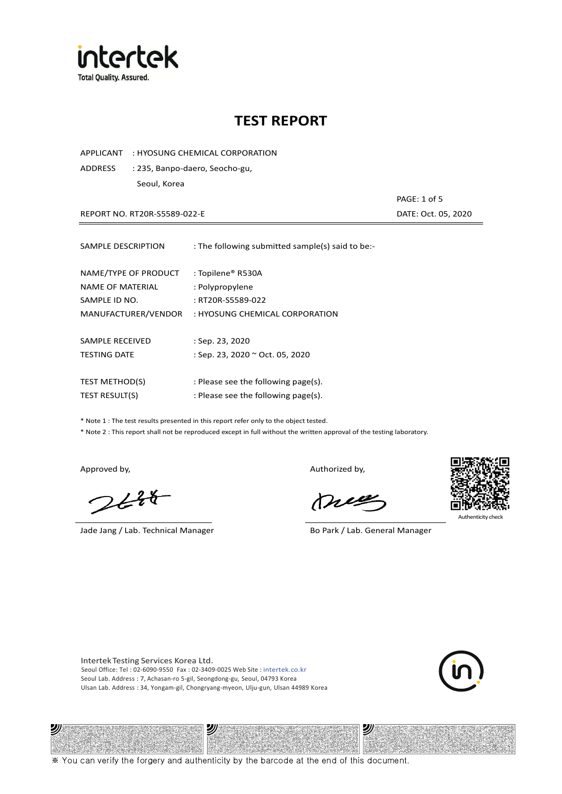

APPLICANT : HYOSUNG CHEMICAL CORPORATION

ADDRESS : 235, Banpo-daero, Seocho-gu, Seoul, Korea

REPORT NO. RT20R-S5589-022-E DATE: Oct. 05, 2020

PAGE: 1 of 5

| SAMPLE DESCRIPTION                                        | : The following submitted sample(s) said to be:-          |
|-----------------------------------------------------------|-----------------------------------------------------------|
| NAME/TYPE OF PRODUCT<br>NAME OF MATERIAL<br>SAMPLE ID NO. | : Topilene® R530A<br>: Polypropylene<br>: RT20R-S5589-022 |
| MANUFACTURER/VENDOR                                       | : HYOSUNG CHEMICAL CORPORATION                            |
| SAMPLE RECEIVED<br><b>TESTING DATE</b>                    | $:$ Sep. 23, 2020<br>: Sep. 23, 2020 ~ Oct. 05, 2020      |
| <b>TEST METHOD(S)</b>                                     | : Please see the following page(s).                       |
| <b>TEST RESULT(S)</b>                                     | : Please see the following page(s).                       |

\* Note 1 : The test results presented in this report refer only to the object tested.

\* Note 2 : This report shall not be reproduced except in full without the written approval of the testing laboratory.

沙

 $2648$ 

Jade Jang / Lab. Technical Manager Bo Park / Lab. General Manager

Approved by, and the control of the control of the Authorized by,

Mie



沙

Intertek Testing Services Korea Ltd. Seoul Office: Tel : 02-6090-9550 Fax : 02-3409-0025 Web Site : intertek.co.kr Seoul Lab. Address : 7, Achasan-ro 5-gil, Seongdong-gu, Seoul, 04793 Korea Ulsan Lab. Address : 34, Yongam-gil, Chongryang-myeon, Ulju-gun, Ulsan 44989 Korea

ッ

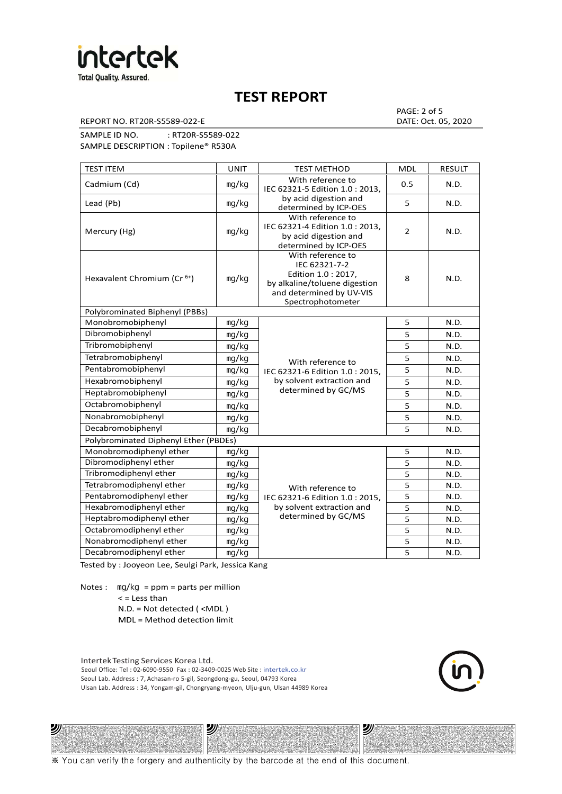

REPORT NO. RT20R-S5589-022-E DATE: Oct. 05, 2020

PAGE: 2 of 5

SAMPLE ID NO. : RT20R-S5589-022 SAMPLE DESCRIPTION : Topilene® R530A

| <b>TEST ITEM</b>                        | <b>UNIT</b> | <b>TEST METHOD</b>                                                                                                                          | <b>MDL</b>     | <b>RESULT</b> |
|-----------------------------------------|-------------|---------------------------------------------------------------------------------------------------------------------------------------------|----------------|---------------|
| Cadmium (Cd)                            | mg/kg       | With reference to<br>IEC 62321-5 Edition 1.0: 2013.                                                                                         | 0.5            | N.D.          |
| Lead (Pb)                               | mg/kg       | by acid digestion and<br>determined by ICP-OES                                                                                              | 5              | N.D.          |
| Mercury (Hg)                            | mg/kg       | With reference to<br>IEC 62321-4 Edition 1.0 : 2013,<br>by acid digestion and<br>determined by ICP-OES                                      | $\overline{2}$ | N.D.          |
| Hexavalent Chromium (Cr <sup>6+</sup> ) | mg/kg       | With reference to<br>IEC 62321-7-2<br>Edition 1.0 : 2017,<br>by alkaline/toluene digestion<br>and determined by UV-VIS<br>Spectrophotometer | 8              | N.D.          |
| Polybrominated Biphenyl (PBBs)          |             |                                                                                                                                             |                |               |
| Monobromobiphenyl                       | mg/kg       |                                                                                                                                             | 5              | N.D.          |
| Dibromobiphenyl                         | mg/kg       |                                                                                                                                             | 5              | N.D.          |
| Tribromobiphenyl                        | mg/kg       |                                                                                                                                             | 5              | N.D.          |
| Tetrabromobiphenyl                      | mg/kg       | With reference to                                                                                                                           | 5              | N.D.          |
| Pentabromobiphenyl                      | mg/kg       | IEC 62321-6 Edition 1.0 : 2015,                                                                                                             | 5              | N.D.          |
| Hexabromobiphenyl                       | mg/kg       | by solvent extraction and                                                                                                                   | 5              | N.D.          |
| Heptabromobiphenyl                      | mg/kg       | determined by GC/MS                                                                                                                         | 5              | N.D.          |
| Octabromobiphenyl                       | mg/kg       |                                                                                                                                             |                | N.D.          |
| Nonabromobiphenyl                       | mg/kg       |                                                                                                                                             | 5              | N.D.          |
| Decabromobiphenyl                       | mg/kg       |                                                                                                                                             | 5              | N.D.          |
| Polybrominated Diphenyl Ether (PBDEs)   |             |                                                                                                                                             |                |               |
| Monobromodiphenyl ether                 | mg/kg       |                                                                                                                                             | 5              | N.D.          |
| Dibromodiphenyl ether                   | mg/kg       |                                                                                                                                             | 5              | N.D.          |
| Tribromodiphenyl ether                  | mg/kg       |                                                                                                                                             | 5              | N.D.          |
| Tetrabromodiphenyl ether                | mg/kg       | With reference to                                                                                                                           | 5              | N.D.          |
| Pentabromodiphenyl ether                | mg/kg       | IEC 62321-6 Edition 1.0 : 2015,                                                                                                             | 5              | N.D.          |
| Hexabromodiphenyl ether                 | mg/kg       | by solvent extraction and                                                                                                                   | 5              | N.D.          |
| Heptabromodiphenyl ether                | mg/kg       | determined by GC/MS                                                                                                                         | 5              | N.D.          |
| Octabromodiphenyl ether                 | mg/kg       |                                                                                                                                             | 5              | N.D.          |
| Nonabromodiphenyl ether                 | mg/kg       |                                                                                                                                             | 5              | N.D.          |
| Decabromodiphenyl ether                 | mg/kg       |                                                                                                                                             | 5              | N.D.          |

Tested by : Jooyeon Lee, Seulgi Park, Jessica Kang

Notes : mg/kg = ppm = parts per million  $<$  = Less than

沙

N.D. = Not detected ( <MDL )

MDL = Method detection limit

Intertek Testing Services Korea Ltd. Seoul Office: Tel : 02-6090-9550 Fax : 02-3409-0025 Web Site : intertek.co.kr Seoul Lab. Address : 7, Achasan-ro 5-gil, Seongdong-gu, Seoul, 04793 Korea Ulsan Lab. Address : 34, Yongam-gil, Chongryang-myeon, Ulju-gun, Ulsan 44989 Korea

沙



沙

※ You can verify the forgery and authenticity by the barcode at the end of this document.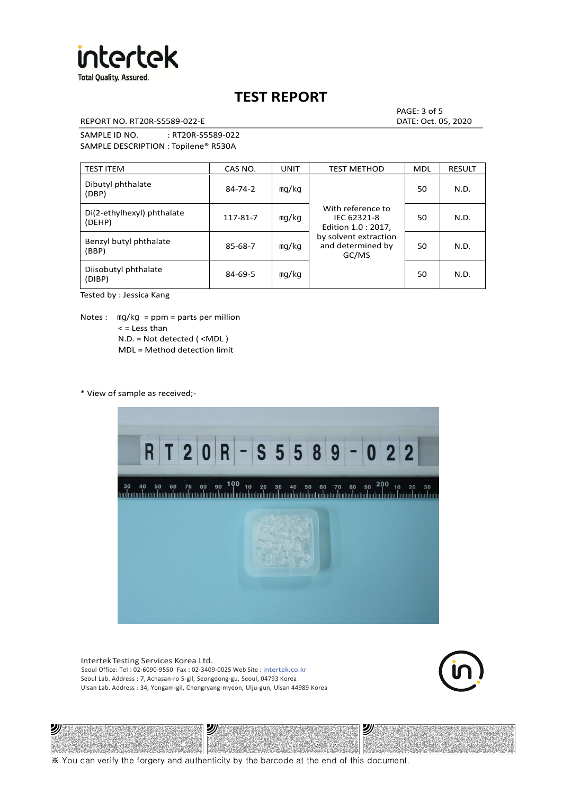

REPORT NO. RT20R-S5589-022-E DATE: Oct. 05, 2020

PAGE: 3 of 5

SAMPLE ID NO. : RT20R-S5589-022 SAMPLE DESCRIPTION : Topilene® R530A

| <b>TEST ITEM</b>                     | CAS NO.       | <b>UNIT</b> | <b>TEST METHOD</b>                                      | <b>MDL</b> | <b>RESULT</b> |
|--------------------------------------|---------------|-------------|---------------------------------------------------------|------------|---------------|
| Dibutyl phthalate<br>(DBP)           | $84 - 74 - 2$ | mq/kg       | With reference to<br>IEC 62321-8<br>Edition 1.0 : 2017, | 50         | N.D.          |
| Di(2-ethylhexyl) phthalate<br>(DEHP) | 117-81-7      | mg/kg       |                                                         | 50         | N.D.          |
| Benzyl butyl phthalate<br>(BBP)      | 85-68-7       | mg/kg       | by solvent extraction<br>and determined by<br>GC/MS     | 50         | N.D.          |
| Diisobutyl phthalate<br>(DIBP)       | $84 - 69 - 5$ | mg/kg       |                                                         | 50         | N.D.          |

Tested by : Jessica Kang

Notes :  $mq/kg = ppm = parts per million$  $<$  = Less than N.D. = Not detected ( <MDL ) MDL = Method detection limit

\* View of sample as received;-

沙



Intertek Testing Services Korea Ltd. Seoul Office: Tel : 02-6090-9550 Fax : 02-3409-0025 Web Site : intertek.co.kr Seoul Lab. Address : 7, Achasan-ro 5-gil, Seongdong-gu, Seoul, 04793 Korea Ulsan Lab. Address : 34, Yongam-gil, Chongryang-myeon, Ulju-gun, Ulsan 44989 Korea

沙



沙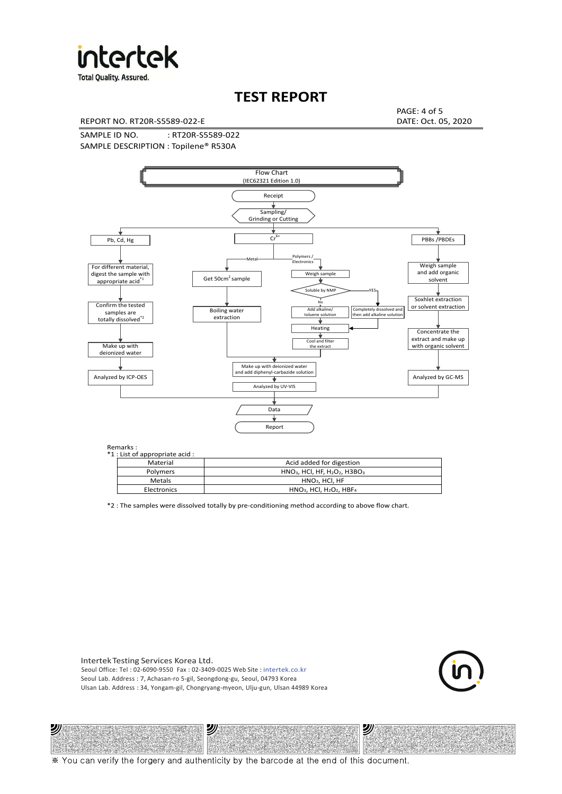

**Total Quality. Assured.** 

## **TEST REPORT**

REPORT NO. RT20R-S5589-022-E DATE: Oct. 05, 2020

PAGE: 4 of 5

SAMPLE ID NO. : RT20R-S5589-022 SAMPLE DESCRIPTION : Topilene® R530A



| *1 : List of appropriate acid : |                                                                     |
|---------------------------------|---------------------------------------------------------------------|
| Material                        | Acid added for digestion                                            |
| <b>Polymers</b>                 | $HNO3$ , HCl, HF, H <sub>2</sub> O <sub>2</sub> , H3BO <sub>3</sub> |
| Metals                          | $HNO3$ . HCl. HF                                                    |
| Electronics                     | $HNO3$ , HCl, H <sub>2</sub> O <sub>2</sub> , HBF <sub>4</sub>      |

\*2 : The samples were dissolved totally by pre-conditioning method according to above flow chart.

Intertek Testing Services Korea Ltd. Seoul Office: Tel : 02-6090-9550 Fax : 02-3409-0025 Web Site : intertek.co.kr Seoul Lab. Address : 7, Achasan-ro 5-gil, Seongdong-gu, Seoul, 04793 Korea Ulsan Lab. Address : 34, Yongam-gil, Chongryang-myeon, Ulju-gun, Ulsan 44989 Korea

沙

沙



沙